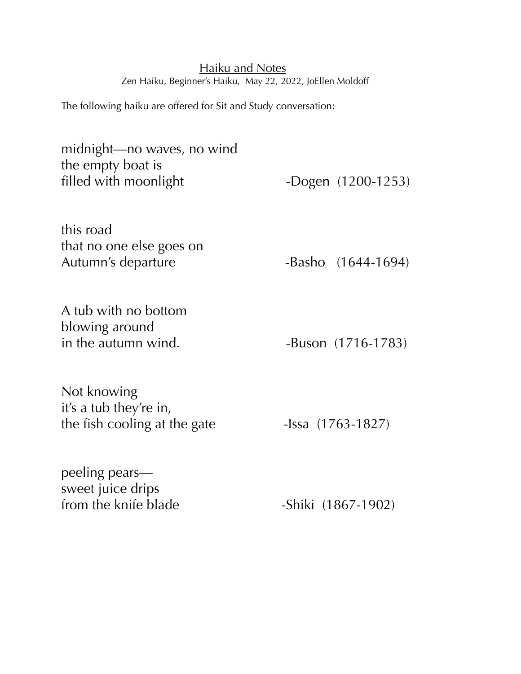## Haiku and Notes Zen Haiku, Beginner's Haiku, May 22, 2022, JoEllen Moldoff

The following haiku are offered for Sit and Study conversation:

| midnight—no waves, no wind<br>the empty boat is<br>filled with moonlight | -Dogen $(1200-1253)$     |
|--------------------------------------------------------------------------|--------------------------|
| this road<br>that no one else goes on<br>Autumn's departure              | -Basho (1644-1694)       |
| A tub with no bottom<br>blowing around<br>in the autumn wind.            | -Buson (1716-1783)       |
| Not knowing<br>it's a tub they're in,<br>the fish cooling at the gate    | $-$ Issa $(1763 - 1827)$ |
| peeling pears—<br>sweet juice drips<br>from the knife blade              | -Shiki (1867-1902)       |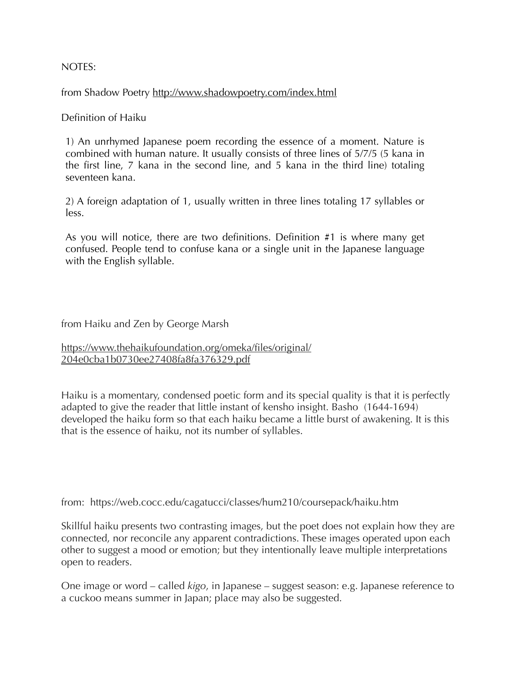## NOTES:

from Shadow Poetry<http://www.shadowpoetry.com/index.html>

Definition of Haiku

1) An unrhymed Japanese poem recording the essence of a moment. Nature is combined with human nature. It usually consists of three lines of 5/7/5 (5 kana in the first line, 7 kana in the second line, and 5 kana in the third line) totaling seventeen kana.

2) A foreign adaptation of 1, usually written in three lines totaling 17 syllables or less.

As you will notice, there are two definitions. Definition #1 is where many get confused. People tend to confuse kana or a single unit in the Japanese language with the English syllable.

from Haiku and Zen by George Marsh

[https://www.thehaikufoundation.org/omeka/files/original/](https://www.thehaikufoundation.org/omeka/files/original/204e0cba1b0730ee27408fa8fa376329.pdf) [204e0cba1b0730ee27408fa8fa376329.pdf](https://www.thehaikufoundation.org/omeka/files/original/204e0cba1b0730ee27408fa8fa376329.pdf)

Haiku is a momentary, condensed poetic form and its special quality is that it is perfectly adapted to give the reader that little instant of kensho insight. Basho (1644-1694) developed the haiku form so that each haiku became a little burst of awakening. It is this that is the essence of haiku, not its number of syllables.

from: <https://web.cocc.edu/cagatucci/classes/hum210/coursepack/haiku.htm>

Skillful haiku presents two contrasting images, but the poet does not explain how they are connected, nor reconcile any apparent contradictions. These images operated upon each other to suggest a mood or emotion; but they intentionally leave multiple interpretations open to readers.

One image or word – called *kigo*, in Japanese – suggest season: e.g. Japanese reference to a cuckoo means summer in Japan; place may also be suggested.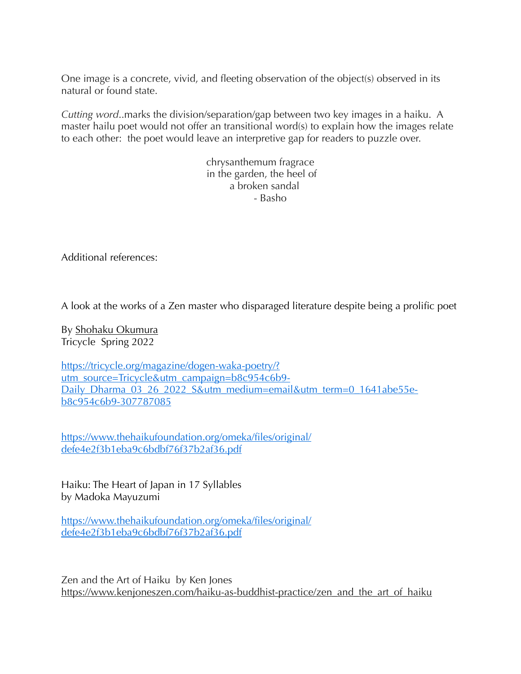One image is a concrete, vivid, and fleeting observation of the object(s) observed in its natural or found state.

*Cutting word*..marks the division/separation/gap between two key images in a haiku. A master hailu poet would not offer an transitional word(s) to explain how the images relate to each other: the poet would leave an interpretive gap for readers to puzzle over.

> chrysanthemum fragrace in the garden, the heel of a broken sandal - Basho

Additional references:

A look at the works of a Zen master who disparaged literature despite being a prolific poet

By [Shohaku Okumura](https://tricycle.org/author/shohakuokumura/) Tricycle Spring 2022

[https://tricycle.org/magazine/dogen-waka-poetry/?](https://tricycle.org/magazine/dogen-waka-poetry/?utm_source=Tricycle&utm_campaign=b8c954c6b9-Daily_Dharma_03_26_2022_S&utm_medium=email&utm_term=0_1641abe55e-b8c954c6b9-307787085) [utm\\_source=Tricycle&utm\\_campaign=b8c954c6b9-](https://tricycle.org/magazine/dogen-waka-poetry/?utm_source=Tricycle&utm_campaign=b8c954c6b9-Daily_Dharma_03_26_2022_S&utm_medium=email&utm_term=0_1641abe55e-b8c954c6b9-307787085) [Daily\\_Dharma\\_03\\_26\\_2022\\_S&utm\\_medium=email&utm\\_term=0\\_1641abe55e](https://tricycle.org/magazine/dogen-waka-poetry/?utm_source=Tricycle&utm_campaign=b8c954c6b9-Daily_Dharma_03_26_2022_S&utm_medium=email&utm_term=0_1641abe55e-b8c954c6b9-307787085)[b8c954c6b9-307787085](https://tricycle.org/magazine/dogen-waka-poetry/?utm_source=Tricycle&utm_campaign=b8c954c6b9-Daily_Dharma_03_26_2022_S&utm_medium=email&utm_term=0_1641abe55e-b8c954c6b9-307787085)

[https://www.thehaikufoundation.org/omeka/files/original/](https://www.thehaikufoundation.org/omeka/files/original/defe4e2f3b1eba9c6bdbf76f37b2af36.pdf) [defe4e2f3b1eba9c6bdbf76f37b2af36.pdf](https://www.thehaikufoundation.org/omeka/files/original/defe4e2f3b1eba9c6bdbf76f37b2af36.pdf)

Haiku: The Heart of Japan in 17 Syllables by Madoka Mayuzumi

[https://www.thehaikufoundation.org/omeka/files/original/](https://www.thehaikufoundation.org/omeka/files/original/defe4e2f3b1eba9c6bdbf76f37b2af36.pdf) [defe4e2f3b1eba9c6bdbf76f37b2af36.pdf](https://www.thehaikufoundation.org/omeka/files/original/defe4e2f3b1eba9c6bdbf76f37b2af36.pdf)

Zen and the Art of Haiku by Ken Jones [https://www.kenjoneszen.com/haiku-as-buddhist-practice/zen\\_and\\_the\\_art\\_of\\_haiku](https://www.kenjoneszen.com/haiku-as-buddhist-practice/zen_and_the_art_of_haiku)